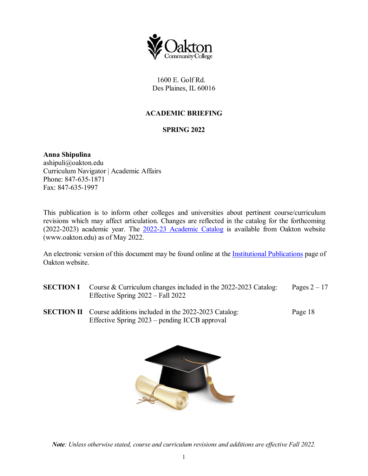

1600 E. Golf Rd. Des Plaines, IL 60016

## **ACADEMIC BRIEFING**

### **SPRING 2022**

**Anna Shipulina** ashipuli@oakton.edu Curriculum Navigator | Academic Affairs Phone: 847-635-1871 Fax: 847-635-1997

This publication is to inform other colleges and universities about pertinent course/curriculum revisions which may affect articulation. Changes are reflected in the catalog for the forthcoming (2022-2023) academic year. The [2022-23 Academic Catalog](https://catalog.oakton.edu/) is available from Oakton website (www.oakton.edu) as of May 2022.

An electronic version of this document may be found online at the **Institutional Publications** page of Oakton website.

- **SECTION I** Course & Curriculum changes included in the 2022-2023 Catalog: Pages 2 17 Effective Spring 2022 – Fall 2022
- **SECTION II** Course additions included in the 2022-2023 Catalog: Page 18 Effective Spring 2023 – pending ICCB approval



*Note: Unless otherwise stated, course and curriculum revisions and additions are effective Fall 2022.*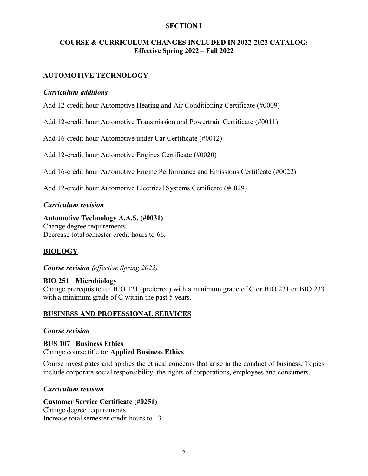### **SECTION I**

### **COURSE & CURRICULUM CHANGES INCLUDED IN 2022-2023 CATALOG: Effective Spring 2022 – Fall 2022**

### **AUTOMOTIVE TECHNOLOGY**

#### *Curriculum additions*

Add 12-credit hour Automotive Heating and Air Conditioning Certificate (#0009)

Add 12-credit hour Automotive Transmission and Powertrain Certificate (#0011)

Add 16-credit hour Automotive under Car Certificate (#0012)

Add 12-credit hour Automotive Engines Certificate (#0020)

Add 16-credit hour Automotive Engine Performance and Emissions Certificate (#0022)

Add 12-credit hour Automotive Electrical Systems Certificate (#0029)

#### *Curriculum revision*

**Automotive Technology A.A.S. (#0031)** Change degree requirements. Decrease total semester credit hours to 66.

### **BIOLOGY**

*Course revision (effective Spring 2022)*

### **BIO 251 Microbiology**

Change prerequisite to: BIO 121 (preferred) with a minimum grade of C or BIO 231 or BIO 233 with a minimum grade of C within the past 5 years.

#### **BUSINESS AND PROFESSIONAL SERVICES**

#### *Course revision*

#### **BUS 107 Business Ethics**

Change course title to: **Applied Business Ethics**

Course investigates and applies the ethical concerns that arise in the conduct of business. Topics include corporate social responsibility, the rights of corporations, employees and consumers.

#### *Curriculum revision*

### **Customer Service Certificate (#0251)**

Change degree requirements. Increase total semester credit hours to 13.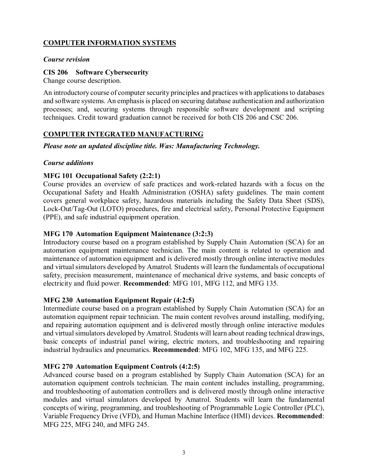# **COMPUTER INFORMATION SYSTEMS**

### *Course revision*

### **CIS 206 Software Cybersecurity**

Change course description.

An introductory course of computer security principles and practices with applications to databases and software systems. An emphasis is placed on securing database authentication and authorization processes; and, securing systems through responsible software development and scripting techniques. Credit toward graduation cannot be received for both CIS 206 and CSC 206.

## **COMPUTER INTEGRATED MANUFACTURING**

*Please note an updated discipline title. Was: Manufacturing Technology.* 

### *Course additions*

### **MFG 101 Occupational Safety (2:2:1)**

Course provides an overview of safe practices and work-related hazards with a focus on the Occupational Safety and Health Administration (OSHA) safety guidelines. The main content covers general workplace safety, hazardous materials including the Safety Data Sheet (SDS), Lock-Out/Tag-Out (LOTO) procedures, fire and electrical safety, Personal Protective Equipment (PPE), and safe industrial equipment operation.

### **MFG 170 Automation Equipment Maintenance (3:2:3)**

Introductory course based on a program established by Supply Chain Automation (SCA) for an automation equipment maintenance technician. The main content is related to operation and maintenance of automation equipment and is delivered mostly through online interactive modules and virtual simulators developed by Amatrol. Students will learn the fundamentals of occupational safety, precision measurement, maintenance of mechanical drive systems, and basic concepts of electricity and fluid power. **Recommended**: MFG 101, MFG 112, and MFG 135.

### **MFG 230 Automation Equipment Repair (4:2:5)**

Intermediate course based on a program established by Supply Chain Automation (SCA) for an automation equipment repair technician. The main content revolves around installing, modifying, and repairing automation equipment and is delivered mostly through online interactive modules and virtual simulators developed by Amatrol. Students will learn about reading technical drawings, basic concepts of industrial panel wiring, electric motors, and troubleshooting and repairing industrial hydraulics and pneumatics. **Recommended**: MFG 102, MFG 135, and MFG 225.

### **MFG 270 Automation Equipment Controls (4:2:5)**

Advanced course based on a program established by Supply Chain Automation (SCA) for an automation equipment controls technician. The main content includes installing, programming, and troubleshooting of automation controllers and is delivered mostly through online interactive modules and virtual simulators developed by Amatrol. Students will learn the fundamental concepts of wiring, programming, and troubleshooting of Programmable Logic Controller (PLC), Variable Frequency Drive (VFD), and Human Machine Interface (HMI) devices. **Recommended**: MFG 225, MFG 240, and MFG 245.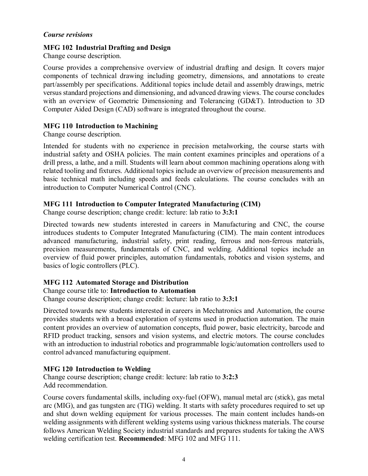### *Course revisions*

### **MFG 102 Industrial Drafting and Design**

Change course description.

Course provides a comprehensive overview of industrial drafting and design. It covers major components of technical drawing including geometry, dimensions, and annotations to create part/assembly per specifications. Additional topics include detail and assembly drawings, metric versus standard projections and dimensioning, and advanced drawing views. The course concludes with an overview of Geometric Dimensioning and Tolerancing (GD&T). Introduction to 3D Computer Aided Design (CAD) software is integrated throughout the course.

### **MFG 110 Introduction to Machining**

Change course description.

Intended for students with no experience in precision metalworking, the course starts with industrial safety and OSHA policies. The main content examines principles and operations of a drill press, a lathe, and a mill. Students will learn about common machining operations along with related tooling and fixtures. Additional topics include an overview of precision measurements and basic technical math including speeds and feeds calculations. The course concludes with an introduction to Computer Numerical Control (CNC).

### **MFG 111 Introduction to Computer Integrated Manufacturing (CIM)**

Change course description; change credit: lecture: lab ratio to **3:3:1** 

Directed towards new students interested in careers in Manufacturing and CNC, the course introduces students to Computer Integrated Manufacturing (CIM). The main content introduces advanced manufacturing, industrial safety, print reading, ferrous and non-ferrous materials, precision measurements, fundamentals of CNC, and welding. Additional topics include an overview of fluid power principles, automation fundamentals, robotics and vision systems, and basics of logic controllers (PLC).

### **MFG 112 Automated Storage and Distribution**

#### Change course title to: **Introduction to Automation**

Change course description; change credit: lecture: lab ratio to **3:3:1** 

Directed towards new students interested in careers in Mechatronics and Automation, the course provides students with a broad exploration of systems used in production automation. The main content provides an overview of automation concepts, fluid power, basic electricity, barcode and RFID product tracking, sensors and vision systems, and electric motors. The course concludes with an introduction to industrial robotics and programmable logic/automation controllers used to control advanced manufacturing equipment.

### **MFG 120 Introduction to Welding**

Change course description; change credit: lecture: lab ratio to **3:2:3** Add recommendation.

Course covers fundamental skills, including oxy-fuel (OFW), manual metal arc (stick), gas metal arc (MIG), and gas tungsten arc (TIG) welding. It starts with safety procedures required to set up and shut down welding equipment for various processes. The main content includes hands-on welding assignments with different welding systems using various thickness materials. The course follows American Welding Society industrial standards and prepares students for taking the AWS welding certification test. **Recommended**: MFG 102 and MFG 111.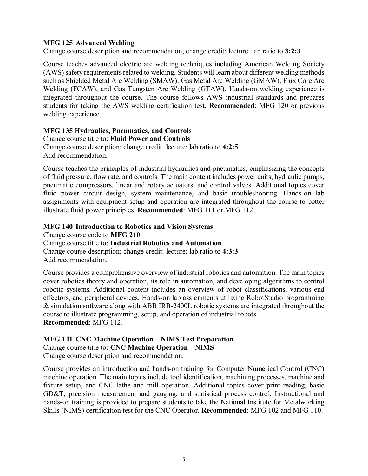### **MFG 125 Advanced Welding**

Change course description and recommendation; change credit: lecture: lab ratio to **3:2:3**

Course teaches advanced electric arc welding techniques including American Welding Society (AWS) safety requirements related to welding. Students will learn about different welding methods such as Shielded Metal Arc Welding (SMAW), Gas Metal Arc Welding (GMAW), Flux Core Arc Welding (FCAW), and Gas Tungsten Arc Welding (GTAW). Hands-on welding experience is integrated throughout the course. The course follows AWS industrial standards and prepares students for taking the AWS welding certification test. **Recommended**: MFG 120 or previous welding experience.

### **MFG 135 Hydraulics, Pneumatics, and Controls**

Change course title to: **Fluid Power and Controls** Change course description; change credit: lecture: lab ratio to **4:2:5** Add recommendation.

Course teaches the principles of industrial hydraulics and pneumatics, emphasizing the concepts of fluid pressure, flow rate, and controls. The main content includes power units, hydraulic pumps, pneumatic compressors, linear and rotary actuators, and control valves. Additional topics cover fluid power circuit design, system maintenance, and basic troubleshooting. Hands-on lab assignments with equipment setup and operation are integrated throughout the course to better illustrate fluid power principles. **Recommended**: MFG 111 or MFG 112.

### **MFG 140 Introduction to Robotics and Vision Systems**

Change course code to **MFG 210**

Change course title to: **Industrial Robotics and Automation**

Change course description; change credit: lecture: lab ratio to **4:3:3** Add recommendation.

Course provides a comprehensive overview of industrial robotics and automation. The main topics cover robotics theory and operation, its role in automation, and developing algorithms to control robotic systems. Additional content includes an overview of robot classifications, various end effectors, and peripheral devices. Hands-on lab assignments utilizing RobotStudio programming & simulation software along with ABB IRB-2400L robotic systems are integrated throughout the course to illustrate programming, setup, and operation of industrial robots. **Recommended**: MFG 112.

# **MFG 141 CNC Machine Operation – NIMS Test Preparation**

Change course title to: **CNC Machine Operation – NIMS**

Change course description and recommendation.

Course provides an introduction and hands-on training for Computer Numerical Control (CNC) machine operation. The main topics include tool identification, machining processes, machine and fixture setup, and CNC lathe and mill operation. Additional topics cover print reading, basic GD&T, precision measurement and gauging, and statistical process control. Instructional and hands-on training is provided to prepare students to take the National Institute for Metalworking Skills (NIMS) certification test for the CNC Operator. **Recommended**: MFG 102 and MFG 110.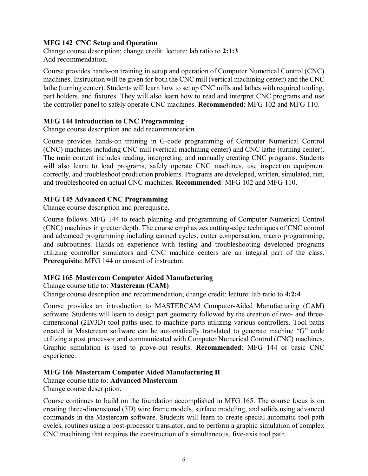### **MFG 142 CNC Setup and Operation**

Change course description; change credit: lecture: lab ratio to **2:1:3** Add recommendation.

Course provides hands-on training in setup and operation of Computer Numerical Control (CNC) machines. Instruction will be given for both the CNC mill (vertical machining center) and the CNC lathe (turning center). Students will learn how to set up CNC mills and lathes with required tooling, part holders, and fixtures. They will also learn how to read and interpret CNC programs and use the controller panel to safely operate CNC machines. **Recommended**: MFG 102 and MFG 110.

#### **MFG 144 Introduction to CNC Programming**

Change course description and add recommendation.

Course provides hands-on training in G-code programming of Computer Numerical Control (CNC) machines including CNC mill (vertical machining center) and CNC lathe (turning center). The main content includes reading, interpreting, and manually creating CNC programs. Students will also learn to load programs, safely operate CNC machines, use inspection equipment correctly, and troubleshoot production problems. Programs are developed, written, simulated, run, and troubleshooted on actual CNC machines. **Recommended**: MFG 102 and MFG 110.

### **MFG 145 Advanced CNC Programming**

Change course description and prerequisite.

Course follows MFG 144 to teach planning and programming of Computer Numerical Control (CNC) machines in greater depth. The course emphasizes cutting-edge techniques of CNC control and advanced programming including canned cycles, cutter compensation, macro programming, and subroutines. Hands-on experience with testing and troubleshooting developed programs utilizing controller simulators and CNC machine centers are an integral part of the class. **Prerequisite**: MFG 144 or consent of instructor.

# **MFG 165 Mastercam Computer Aided Manufacturing**

Change course title to: **Mastercam (CAM)**

Change course description and recommendation; change credit: lecture: lab ratio to **4:2:4**

Course provides an introduction to MASTERCAM Computer-Aided Manufacturing (CAM) software. Students will learn to design part geometry followed by the creation of two- and threedimensional (2D/3D) tool paths used to machine parts utilizing various controllers. Tool paths created in Mastercam software can be automatically translated to generate machine "G" code utilizing a post processor and communicated with Computer Numerical Control (CNC) machines. Graphic simulation is used to prove-out results. **Recommended**: MFG 144 or basic CNC experience.

#### **MFG 166 Mastercam Computer Aided Manufacturing II**

Change course title to: **Advanced Mastercam**

Change course description.

Course continues to build on the foundation accomplished in MFG 165. The course focus is on creating three-dimensional (3D) wire frame models, surface modeling, and solids using advanced commands in the Mastercam software. Students will learn to create special automatic tool path cycles, routines using a post-processor translator, and to perform a graphic simulation of complex CNC machining that requires the construction of a simultaneous, five-axis tool path.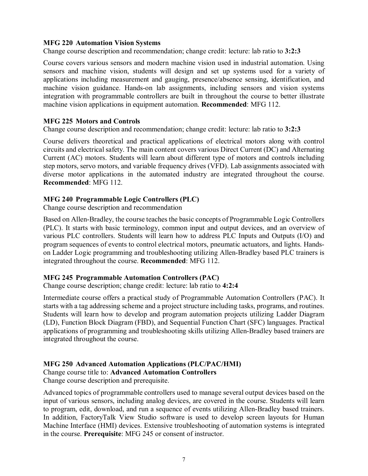#### **MFG 220 Automation Vision Systems**

Change course description and recommendation; change credit: lecture: lab ratio to **3:2:3**

Course covers various sensors and modern machine vision used in industrial automation. Using sensors and machine vision, students will design and set up systems used for a variety of applications including measurement and gauging, presence/absence sensing, identification, and machine vision guidance. Hands-on lab assignments, including sensors and vision systems integration with programmable controllers are built in throughout the course to better illustrate machine vision applications in equipment automation. **Recommended**: MFG 112.

#### **MFG 225 Motors and Controls**

Change course description and recommendation; change credit: lecture: lab ratio to **3:2:3**

Course delivers theoretical and practical applications of electrical motors along with control circuits and electrical safety. The main content covers various Direct Current (DC) and Alternating Current (AC) motors. Students will learn about different type of motors and controls including step motors, servo motors, and variable frequency drives (VFD). Lab assignments associated with diverse motor applications in the automated industry are integrated throughout the course. **Recommended**: MFG 112.

#### **MFG 240 Programmable Logic Controllers (PLC)**

Change course description and recommendation

Based on Allen-Bradley, the course teaches the basic concepts of Programmable Logic Controllers (PLC). It starts with basic terminology, common input and output devices, and an overview of various PLC controllers. Students will learn how to address PLC Inputs and Outputs (I/O) and program sequences of events to control electrical motors, pneumatic actuators, and lights. Handson Ladder Logic programming and troubleshooting utilizing Allen-Bradley based PLC trainers is integrated throughout the course. **Recommended**: MFG 112.

#### **MFG 245 Programmable Automation Controllers (PAC)**

Change course description; change credit: lecture: lab ratio to **4:2:4**

Intermediate course offers a practical study of Programmable Automation Controllers (PAC). It starts with a tag addressing scheme and a project structure including tasks, programs, and routines. Students will learn how to develop and program automation projects utilizing Ladder Diagram (LD), Function Block Diagram (FBD), and Sequential Function Chart (SFC) languages. Practical applications of programming and troubleshooting skills utilizing Allen-Bradley based trainers are integrated throughout the course.

### **MFG 250 Advanced Automation Applications (PLC/PAC/HMI)**

Change course title to: **Advanced Automation Controllers**

Change course description and prerequisite.

Advanced topics of programmable controllers used to manage several output devices based on the input of various sensors, including analog devices, are covered in the course. Students will learn to program, edit, download, and run a sequence of events utilizing Allen-Bradley based trainers. In addition, FactoryTalk View Studio software is used to develop screen layouts for Human Machine Interface (HMI) devices. Extensive troubleshooting of automation systems is integrated in the course. **Prerequisite**: MFG 245 or consent of instructor.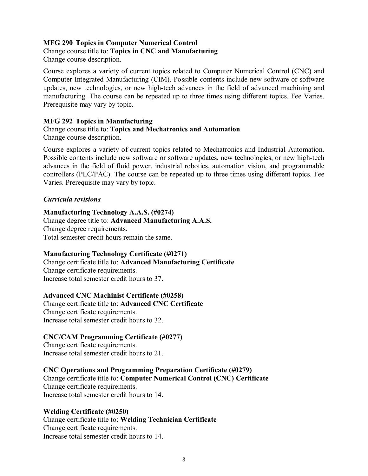### **MFG 290 Topics in Computer Numerical Control**

### Change course title to: **Topics in CNC and Manufacturing**

Change course description.

Course explores a variety of current topics related to Computer Numerical Control (CNC) and Computer Integrated Manufacturing (CIM). Possible contents include new software or software updates, new technologies, or new high-tech advances in the field of advanced machining and manufacturing. The course can be repeated up to three times using different topics. Fee Varies. Prerequisite may vary by topic.

#### **MFG 292 Topics in Manufacturing**

#### Change course title to: **Topics and Mechatronics and Automation** Change course description.

Course explores a variety of current topics related to Mechatronics and Industrial Automation. Possible contents include new software or software updates, new technologies, or new high-tech advances in the field of fluid power, industrial robotics, automation vision, and programmable controllers (PLC/PAC). The course can be repeated up to three times using different topics. Fee Varies. Prerequisite may vary by topic.

### *Curricula revisions*

### **Manufacturing Technology A.A.S. (#0274)**

Change degree title to: **Advanced Manufacturing A.A.S.** Change degree requirements. Total semester credit hours remain the same.

### **Manufacturing Technology Certificate (#0271)**

Change certificate title to: **Advanced Manufacturing Certificate** Change certificate requirements. Increase total semester credit hours to 37.

#### **Advanced CNC Machinist Certificate (#0258)**

Change certificate title to: **Advanced CNC Certificate** Change certificate requirements. Increase total semester credit hours to 32.

### **CNC/CAM Programming Certificate (#0277)**

Change certificate requirements. Increase total semester credit hours to 21.

### **CNC Operations and Programming Preparation Certificate (#0279)**

Change certificate title to: **Computer Numerical Control (CNC) Certificate** Change certificate requirements. Increase total semester credit hours to 14.

#### **Welding Certificate (#0250)**

Change certificate title to: **Welding Technician Certificate** Change certificate requirements. Increase total semester credit hours to 14.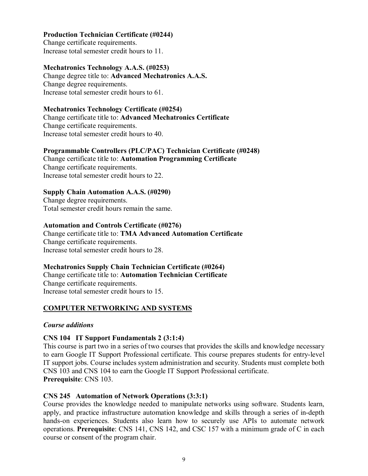### **Production Technician Certificate (#0244)**

Change certificate requirements. Increase total semester credit hours to 11.

### **Mechatronics Technology A.A.S. (#0253)**

Change degree title to: **Advanced Mechatronics A.A.S.** Change degree requirements. Increase total semester credit hours to 61.

#### **Mechatronics Technology Certificate (#0254)**

Change certificate title to: **Advanced Mechatronics Certificate** Change certificate requirements. Increase total semester credit hours to 40.

### **Programmable Controllers (PLC/PAC) Technician Certificate (#0248)**

Change certificate title to: **Automation Programming Certificate** Change certificate requirements. Increase total semester credit hours to 22.

### **Supply Chain Automation A.A.S. (#0290)**

Change degree requirements. Total semester credit hours remain the same.

### **Automation and Controls Certificate (#0276)**

Change certificate title to: **TMA Advanced Automation Certificate** Change certificate requirements. Increase total semester credit hours to 28.

### **Mechatronics Supply Chain Technician Certificate (#0264)**

Change certificate title to: **Automation Technician Certificate** Change certificate requirements. Increase total semester credit hours to 15.

### **COMPUTER NETWORKING AND SYSTEMS**

#### *Course additions*

#### **CNS 104 IT Support Fundamentals 2 (3:1:4)**

This course is part two in a series of two courses that provides the skills and knowledge necessary to earn Google IT Support Professional certificate. This course prepares students for entry-level IT support jobs. Course includes system administration and security. Students must complete both CNS 103 and CNS 104 to earn the Google IT Support Professional certificate. **Prerequisite**: CNS 103.

#### **CNS 245 Automation of Network Operations (3:3:1)**

Course provides the knowledge needed to manipulate networks using software. Students learn, apply, and practice infrastructure automation knowledge and skills through a series of in-depth hands-on experiences. Students also learn how to securely use APIs to automate network operations. **Prerequisite**: CNS 141, CNS 142, and CSC 157 with a minimum grade of C in each course or consent of the program chair.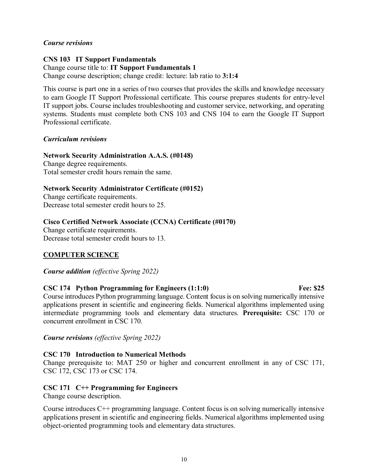### *Course revisions*

#### **CNS 103 IT Support Fundamentals** Change course title to: **IT Support Fundamentals 1**

Change course description; change credit: lecture: lab ratio to **3:1:4**

This course is part one in a series of two courses that provides the skills and knowledge necessary to earn Google IT Support Professional certificate. This course prepares students for entry-level IT support jobs. Course includes troubleshooting and customer service, networking, and operating systems. Students must complete both CNS 103 and CNS 104 to earn the Google IT Support Professional certificate.

### *Curriculum revisions*

#### **Network Security Administration A.A.S. (#0148)**

Change degree requirements. Total semester credit hours remain the same.

### **Network Security Administrator Certificate (#0152)**

Change certificate requirements. Decrease total semester credit hours to 25.

### **Cisco Certified Network Associate (CCNA) Certificate (#0170)**

Change certificate requirements. Decrease total semester credit hours to 13.

### **COMPUTER SCIENCE**

*Course addition (effective Spring 2022)*

### **CSC 174 Python Programming for Engineers (1:1:0) Fee: \$25**

Course introduces Python programming language. Content focus is on solving numerically intensive applications present in scientific and engineering fields. Numerical algorithms implemented using intermediate programming tools and elementary data structures. **Prerequisite:** CSC 170 or concurrent enrollment in CSC 170.

*Course revisions (effective Spring 2022)*

### **CSC 170 Introduction to Numerical Methods**

Change prerequisite to: MAT 250 or higher and concurrent enrollment in any of CSC 171, CSC 172, CSC 173 or CSC 174.

### **CSC 171 C++ Programming for Engineers**

Change course description.

Course introduces  $C^{++}$  programming language. Content focus is on solving numerically intensive applications present in scientific and engineering fields. Numerical algorithms implemented using object-oriented programming tools and elementary data structures.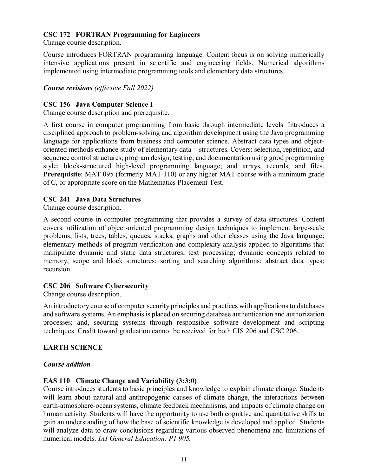### **CSC 172 FORTRAN Programming for Engineers**

Change course description.

Course introduces FORTRAN programming language. Content focus is on solving numerically intensive applications present in scientific and engineering fields. Numerical algorithms implemented using intermediate programming tools and elementary data structures.

*Course revisions (effective Fall 2022)*

### **CSC 156 Java Computer Science I**

Change course description and prerequisite.

A first course in computer programming from basic through intermediate levels. Introduces a disciplined approach to problem-solving and algorithm development using the Java programming language for applications from business and computer science. Abstract data types and objectoriented methods enhance study of elementary data structures. Covers: selection, repetition, and sequence control structures; program design, testing, and documentation using good programming style; block-structured high-level programming language; and arrays, records, and files. **Prerequisite**: MAT 095 (formerly MAT 110) or any higher MAT course with a minimum grade of C, or appropriate score on the Mathematics Placement Test.

### **CSC 241 Java Data Structures**

Change course description.

A second course in computer programming that provides a survey of data structures. Content covers: utilization of object-oriented programming design techniques to implement large-scale problems; lists, trees, tables, queues, stacks, graphs and other classes using the Java language; elementary methods of program verification and complexity analysis applied to algorithms that manipulate dynamic and static data structures; text processing; dynamic concepts related to memory, scope and block structures; sorting and searching algorithms; abstract data types; recursion.

#### **CSC 206 Software Cybersecurity**

Change course description.

An introductory course of computer security principles and practices with applications to databases and software systems. An emphasis is placed on securing database authentication and authorization processes; and, securing systems through responsible software development and scripting techniques. Credit toward graduation cannot be received for both CIS 206 and CSC 206.

### **EARTH SCIENCE**

#### *Course addition*

#### **EAS 110 Climate Change and Variability (3:3:0)**

Course introduces students to basic principles and knowledge to explain climate change. Students will learn about natural and anthropogenic causes of climate change, the interactions between earth-atmosphere-ocean systems, climate feedback mechanisms, and impacts of climate change on human activity. Students will have the opportunity to use both cognitive and quantitative skills to gain an understanding of how the base of scientific knowledge is developed and applied. Students will analyze data to draw conclusions regarding various observed phenomena and limitations of numerical models. *IAI General Education: P1 905.*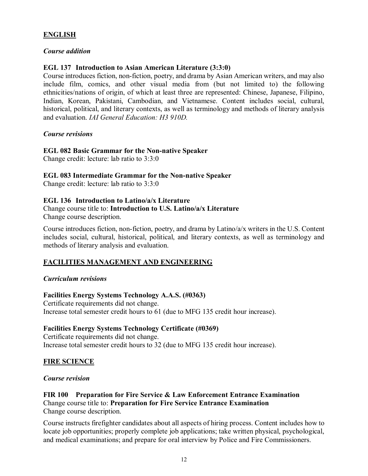## **ENGLISH**

#### *Course addition*

### **EGL 137 Introduction to Asian American Literature (3:3:0)**

Course introduces fiction, non-fiction, poetry, and drama by Asian American writers, and may also include film, comics, and other visual media from (but not limited to) the following ethnicities/nations of origin, of which at least three are represented: Chinese, Japanese, Filipino, Indian, Korean, Pakistani, Cambodian, and Vietnamese. Content includes social, cultural, historical, political, and literary contexts, as well as terminology and methods of literary analysis and evaluation. *IAI General Education: H3 910D.* 

#### *Course revisions*

#### **EGL 082 Basic Grammar for the Non-native Speaker**

Change credit: lecture: lab ratio to 3:3:0

#### **EGL 083 Intermediate Grammar for the Non-native Speaker**

Change credit: lecture: lab ratio to 3:3:0

#### **EGL 136 Introduction to Latino/a/x Literature**

Change course title to: **Introduction to U.S. Latino/a/x Literature** Change course description.

Course introduces fiction, non-fiction, poetry, and drama by Latino/a/x writers in the U.S. Content includes social, cultural, historical, political, and literary contexts, as well as terminology and methods of literary analysis and evaluation.

#### **FACILITIES MANAGEMENT AND ENGINEERING**

#### *Curriculum revisions*

#### **Facilities Energy Systems Technology A.A.S. (#0363)**

Certificate requirements did not change. Increase total semester credit hours to 61 (due to MFG 135 credit hour increase).

#### **Facilities Energy Systems Technology Certificate (#0369)**

Certificate requirements did not change. Increase total semester credit hours to 32 (due to MFG 135 credit hour increase).

#### **FIRE SCIENCE**

#### *Course revision*

#### **FIR 100 Preparation for Fire Service & Law Enforcement Entrance Examination** Change course title to: **Preparation for Fire Service Entrance Examination** Change course description.

Course instructs firefighter candidates about all aspects of hiring process. Content includes how to locate job opportunities; properly complete job applications; take written physical, psychological, and medical examinations; and prepare for oral interview by Police and Fire Commissioners.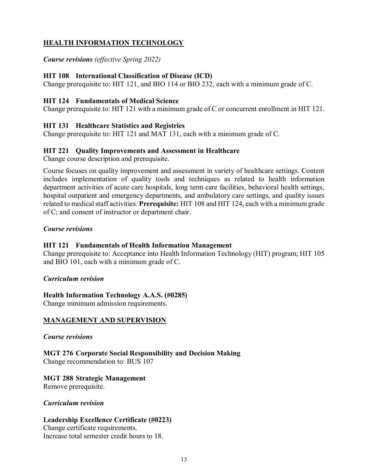# **HEALTH INFORMATION TECHNOLOGY**

*Course revisions (effective Spring 2022)*

### **HIT 108 International Classification of Disease (ICD)**

Change prerequisite to: HIT 121, and BIO 114 or BIO 232, each with a minimum grade of C.

### **HIT 124 Fundamentals of Medical Science**

Change prerequisite to: HIT 121 with a minimum grade of C or concurrent enrollment in HIT 121.

### **HIT 131 Healthcare Statistics and Registries**

Change prerequisite to: HIT 121 and MAT 131, each with a minimum grade of C.

### **HIT 221 Quality Improvements and Assessment in Healthcare**

Change course description and prerequisite.

Course focuses on quality improvement and assessment in variety of healthcare settings. Content includes implementation of quality tools and techniques as related to health information department activities of acute care hospitals, long term care facilities, behavioral health settings, hospital outpatient and emergency departments, and ambulatory care settings, and quality issues related to medical staff activities. **Prerequisite:** HIT 108 and HIT 124, each with a minimum grade of C; and consent of instructor or department chair.

### *Course revisions*

### **HIT 121 Fundamentals of Health Information Management**

Change prerequisite to: Acceptance into Health Information Technology (HIT) program; HIT 105 and BIO 101, each with a minimum grade of C.

#### *Curriculum revision*

#### **Health Information Technology A.A.S. (#0285)**

Change minimum admission requirements.

### **MANAGEMENT AND SUPERVISION**

#### *Course revisions*

**MGT 276 Corporate Social Responsibility and Decision Making** Change recommendation to: BUS 107

#### **MGT 288 Strategic Management**

Remove prerequisite.

#### *Curriculum revision*

#### **Leadership Excellence Certificate (#0223)**

Change certificate requirements. Increase total semester credit hours to 18.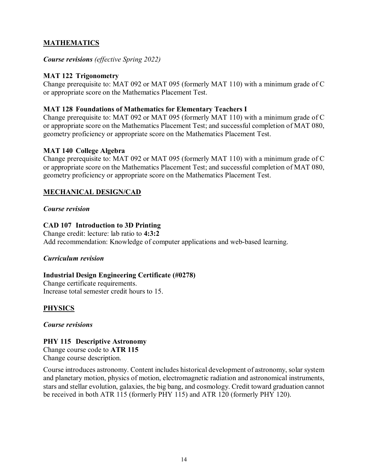# **MATHEMATICS**

*Course revisions (effective Spring 2022)*

## **MAT 122 Trigonometry**

Change prerequisite to: MAT 092 or MAT 095 (formerly MAT 110) with a minimum grade of C or appropriate score on the Mathematics Placement Test.

### **MAT 128 Foundations of Mathematics for Elementary Teachers I**

Change prerequisite to: MAT 092 or MAT 095 (formerly MAT 110) with a minimum grade of C or appropriate score on the Mathematics Placement Test; and successful completion of MAT 080, geometry proficiency or appropriate score on the Mathematics Placement Test.

### **MAT 140 College Algebra**

Change prerequisite to: MAT 092 or MAT 095 (formerly MAT 110) with a minimum grade of C or appropriate score on the Mathematics Placement Test; and successful completion of MAT 080, geometry proficiency or appropriate score on the Mathematics Placement Test.

## **MECHANICAL DESIGN/CAD**

### *Course revision*

## **CAD 107 Introduction to 3D Printing**

Change credit: lecture: lab ratio to **4:3:2** Add recommendation: Knowledge of computer applications and web-based learning.

### *Curriculum revision*

### **Industrial Design Engineering Certificate (#0278)**

Change certificate requirements. Increase total semester credit hours to 15.

# **PHYSICS**

*Course revisions*

### **PHY 115 Descriptive Astronomy**

Change course code to **ATR 115** Change course description.

Course introduces astronomy. Content includes historical development of astronomy, solar system and planetary motion, physics of motion, electromagnetic radiation and astronomical instruments, stars and stellar evolution, galaxies, the big bang, and cosmology. Credit toward graduation cannot be received in both ATR 115 (formerly PHY 115) and ATR 120 (formerly PHY 120).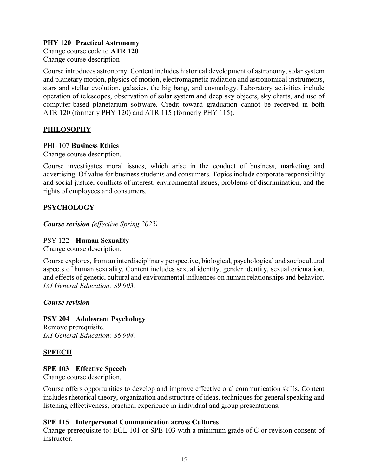### **PHY 120 Practical Astronomy**

Change course code to **ATR 120** Change course description

Course introduces astronomy. Content includes historical development of astronomy, solar system and planetary motion, physics of motion, electromagnetic radiation and astronomical instruments, stars and stellar evolution, galaxies, the big bang, and cosmology. Laboratory activities include operation of telescopes, observation of solar system and deep sky objects, sky charts, and use of computer-based planetarium software. Credit toward graduation cannot be received in both ATR 120 (formerly PHY 120) and ATR 115 (formerly PHY 115).

### **PHILOSOPHY**

### PHL 107 **Business Ethics**

Change course description.

Course investigates moral issues, which arise in the conduct of business, marketing and advertising. Of value for business students and consumers. Topics include corporate responsibility and social justice, conflicts of interest, environmental issues, problems of discrimination, and the rights of employees and consumers.

## **PSYCHOLOGY**

*Course revision (effective Spring 2022)*

#### PSY 122 **Human Sexuality**

Change course description.

Course explores, from an interdisciplinary perspective, biological, psychological and sociocultural aspects of human sexuality. Content includes sexual identity, gender identity, sexual orientation, and effects of genetic, cultural and environmental influences on human relationships and behavior. *IAI General Education: S9 903.*

#### *Course revision*

### **PSY 204 Adolescent Psychology**

Remove prerequisite. *IAI General Education: S6 904.*

### **SPEECH**

### **SPE 103 Effective Speech**

Change course description.

Course offers opportunities to develop and improve effective oral communication skills. Content includes rhetorical theory, organization and structure of ideas, techniques for general speaking and listening effectiveness, practical experience in individual and group presentations.

#### **SPE 115 Interpersonal Communication across Cultures**

Change prerequisite to: EGL 101 or SPE 103 with a minimum grade of C or revision consent of instructor.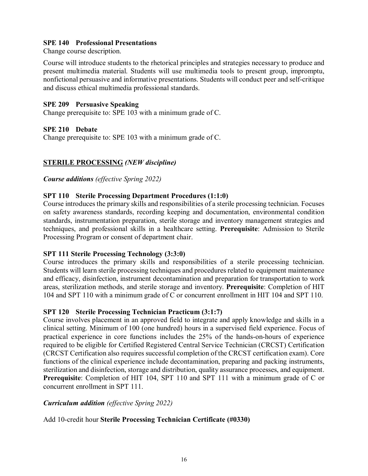### **SPE 140 Professional Presentations**

Change course description.

Course will introduce students to the rhetorical principles and strategies necessary to produce and present multimedia material. Students will use multimedia tools to present group, impromptu, nonfictional persuasive and informative presentations. Students will conduct peer and self-critique and discuss ethical multimedia professional standards.

### **SPE 209 Persuasive Speaking**

Change prerequisite to: SPE 103 with a minimum grade of C.

### **SPE 210 Debate**

Change prerequisite to: SPE 103 with a minimum grade of C.

### **STERILE PROCESSING** *(NEW discipline)*

*Course additions (effective Spring 2022)*

### **SPT 110 Sterile Processing Department Procedures (1:1:0)**

Course introduces the primary skills and responsibilities of a sterile processing technician. Focuses on safety awareness standards, recording keeping and documentation, environmental condition standards, instrumentation preparation, sterile storage and inventory management strategies and techniques, and professional skills in a healthcare setting. **Prerequisite**: Admission to Sterile Processing Program or consent of department chair.

#### **SPT 111 Sterile Processing Technology (3:3:0)**

Course introduces the primary skills and responsibilities of a sterile processing technician. Students will learn sterile processing techniques and procedures related to equipment maintenance and efficacy, disinfection, instrument decontamination and preparation for transportation to work areas, sterilization methods, and sterile storage and inventory. **Prerequisite**: Completion of HIT 104 and SPT 110 with a minimum grade of C or concurrent enrollment in HIT 104 and SPT 110.

#### **SPT 120 Sterile Processing Technician Practicum (3:1:7)**

Course involves placement in an approved field to integrate and apply knowledge and skills in a clinical setting. Minimum of 100 (one hundred) hours in a supervised field experience. Focus of practical experience in core functions includes the 25% of the hands-on-hours of experience required to be eligible for Certified Registered Central Service Technician (CRCST) Certification (CRCST Certification also requires successful completion of the CRCST certification exam). Core functions of the clinical experience include decontamination, preparing and packing instruments, sterilization and disinfection, storage and distribution, quality assurance processes, and equipment. **Prerequisite**: Completion of HIT 104, SPT 110 and SPT 111 with a minimum grade of C or concurrent enrollment in SPT 111.

### *Curriculum addition (effective Spring 2022)*

### Add 10-credit hour **Sterile Processing Technician Certificate (#0330)**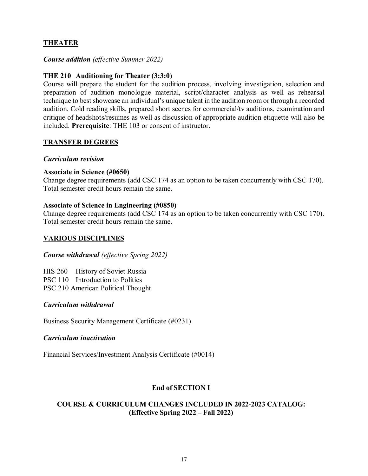# **THEATER**

### *Course addition (effective Summer 2022)*

### **THE 210 Auditioning for Theater (3:3:0)**

Course will prepare the student for the audition process, involving investigation, selection and preparation of audition monologue material, script/character analysis as well as rehearsal technique to best showcase an individual's unique talent in the audition room or through a recorded audition. Cold reading skills, prepared short scenes for commercial/tv auditions, examination and critique of headshots/resumes as well as discussion of appropriate audition etiquette will also be included. **Prerequisite**: THE 103 or consent of instructor.

#### **TRANSFER DEGREES**

#### *Curriculum revision*

### **Associate in Science (#0650)**

Change degree requirements (add CSC 174 as an option to be taken concurrently with CSC 170). Total semester credit hours remain the same.

### **Associate of Science in Engineering (#0850)**

Change degree requirements (add CSC 174 as an option to be taken concurrently with CSC 170). Total semester credit hours remain the same.

### **VARIOUS DISCIPLINES**

#### *Course withdrawal (effective Spring 2022)*

HIS 260 History of Soviet Russia PSC 110 Introduction to Politics PSC 210 American Political Thought

#### *Curriculum withdrawal*

Business Security Management Certificate (#0231)

#### *Curriculum inactivation*

Financial Services/Investment Analysis Certificate (#0014)

### **End of SECTION I**

### **COURSE & CURRICULUM CHANGES INCLUDED IN 2022-2023 CATALOG: (Effective Spring 2022 – Fall 2022)**